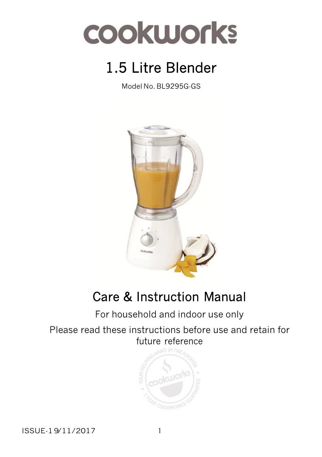

# 1.5 Litre Blender

Model No. BL9295G-GS



# Care & Instruction Manual

For household and indoor use only

Please read these instructions before use and retain for future reference



ISSUE-19/11/2017 1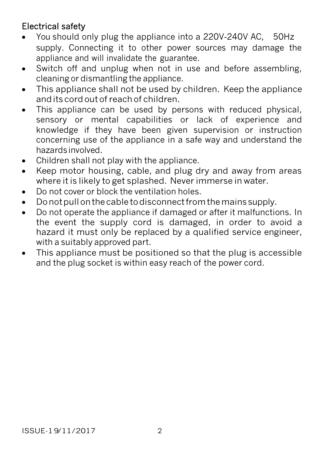### Electrical safety

- You should only plug the appliance into a 220V-240V AC, 50Hz supply. Connecting it to other power sources may damage the appliance and will invalidate the guarantee.
- Switch off and unplug when not in use and before assembling, cleaning or dismantling the appliance.
- This appliance shall not be used by children. Keep the appliance anditscordout of reachof children.
- This appliance can be used by persons with reduced physical, sensory or mental capabilities or lack of experience and knowledge if they have been given supervision or instruction concerning use of the appliance in a safe way and understand the hazardsinvolved.
- Children shall not play with the appliance.
- Keep motor housing, cable, and plug dry and away from areas where it is likely to get splashed. Never immerse in water.
- Do not cover or block the ventilation holes.
- Do not pull on the cable to disconnect from the mains supply.
- Do not operate the appliance if damaged or after it malfunctions. In the event the supply cord is damaged, in order to avoid a hazard it must only be replaced by a qualified service engineer, with a suitably approved part.
- This appliance must be positioned so that the plug is accessible and the plug socket is within easy reach of the power cord.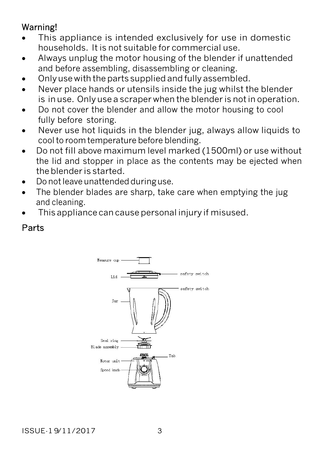### Warning!

- This appliance is intended exclusively for use in domestic households. It is not suitable for commercial use.
- Always unplug the motor housing of the blender if unattended and before assembling, disassembling or cleaning.
- Only use with the parts supplied and fully assembled.
- Never place hands or utensils inside the jug whilst the blender is in use. Only use a scraper when the blender is notin operation.
- Do not cover the blender and allow the motor housing to cool fully before storing.
- Never use hot liquids in the blender jug, always allow liquids to coolto roomtemperature before blending.
- Do not fill above maximum level marked (1500ml) or use without the lid and stopper in place as the contents may be ejected when theblender is started.
- Do not leave unattended duringuse.
- The blender blades are sharp, take care when emptying the jug and cleaning.
- This appliance can cause personal injury if misused.

### Parts

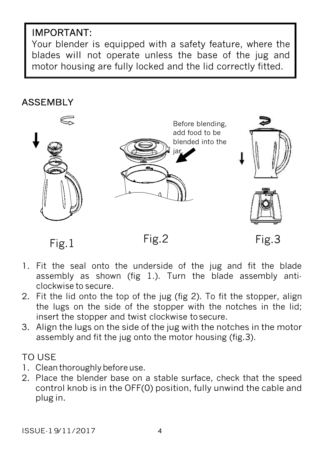### IMPORTANT:

Your blender is equipped with a safety feature, where the blades will not operate unless the base of the jug and motor housing are fully locked and the lid correctly fitted.

### ASSEMBLY



- 1. Fit the seal onto the underside of the jug and fit the blade assembly as shown (fig 1.). Turn the blade assembly anticlockwise to secure.
- 2. Fit the lid onto the top of the jug (fig 2). To fit the stopper, align the lugs on the side of the stopper with the notches in the lid; insert the stopper and twist clockwise tosecure.
- 3. Align the lugs on the side of the jug with the notches in the motor assembly and fit the jug onto the motor housing (fig.3).

### TO USE

- 1. Clean thoroughly before use.
- 2. Place the blender base on a stable surface, check that the speed control knob is in the OFF(0) position, fully unwind the cable and plug in.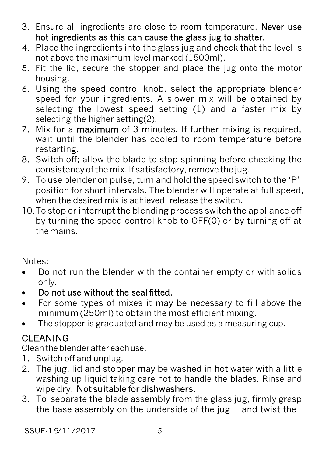- 3. Ensure all ingredients are close to room temperature. Never use hot ingredients as this can cause the glass jug to shatter.
- 4. Place the ingredients into the glass jug and check that the level is not above the maximum level marked (1500ml).
- 5. Fit the lid, secure the stopper and place the jug onto the motor housing.
- 6. Using the speed control knob, select the appropriate blender speed for your ingredients. A slower mix will be obtained by selecting the lowest speed setting (1) and a faster mix by selecting the higher setting(2).
- 7. Mix for a maximum of 3 minutes. If further mixing is required, wait until the blender has cooled to room temperature before restarting.
- 8. Switch off; allow the blade to stop spinning before checking the consistencyofthemix.If satisfactory, remove thejug.
- 9. To use blender on pulse, turn and hold the speed switch to the 'P' position for short intervals. The blender will operate at full speed, when the desired mix is achieved, release the switch.
- 10.To stop or interrupt the blending process switch the appliance off by turning the speed control knob to OFF(0) or by turning off at themains.

Notes:

- Do not run the blender with the container empty or with solids only.
- Do not use without the seal fitted.
- For some types of mixes it may be necessary to fill above the minimum (250ml) to obtain the most efficient mixing.
- The stopper is graduated and may be used as a measuring cup.

## **CLEANING**

Cleantheblenderaftereachuse.

- 1. Switch off and unplug.
- 2. The jug, lid and stopper may be washed in hot water with a little washing up liquid taking care not to handle the blades. Rinse and wipe dry. Not suitable for dishwashers.
- 3. To separate the blade assembly from the glass jug, firmly grasp the base assembly on the underside of the jug and twist the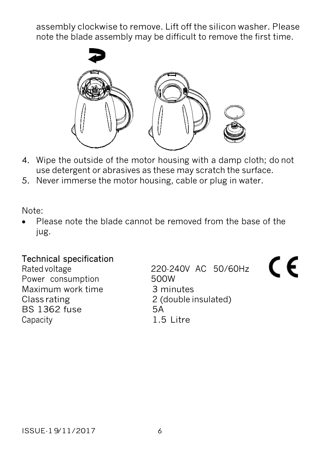assembly clockwise to remove. Lift off the silicon washer. Please note the blade assembly may be difficult to remove the first time.



- 4. Wipe the outside of the motor housing with a damp cloth; do not use detergent or abrasives as these may scratch the surface.
- 5. Never immerse the motor housing, cable or plug in water.

Note:

 Please note the blade cannot be removed from the base of the jug.

# Technical specification<br>Rated voltage

Power consumption 500W Maximum work time 3 minutes<br>Class rating 2 (double i BS 1362 fuse 5A Capacity **1.5 Litre** 

220-240V AC 50/60Hz 2 (double insulated)

CE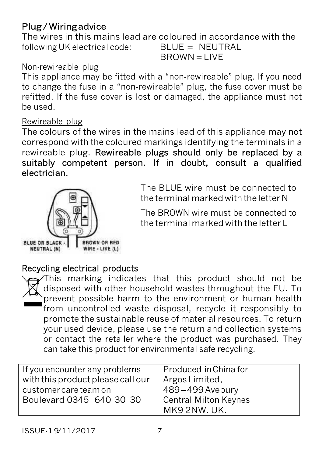### Plug / Wiring advice

The wires in this mains lead are coloured in accordance with the following UK electrical code: BLUE = NEUTRAL

## $BROWN = LIVE$

#### Non-rewireable plug

This appliance may be fitted with a "non‐rewireable" plug. If you need to change the fuse in a "non‐rewireable" plug, the fuse cover must be refitted. If the fuse cover is lost or damaged, the appliance must not be used.

#### Rewireable plug

The colours of the wires in the mains lead of this appliance may not correspond with the coloured markings identifying the terminals in a rewireable plug. Rewireable plugs should only be replaced by a suitably competent person. If in doubt, consult a qualified electrician.



The BLUE wire must be connected to the terminal marked with the letter N

The BROWN wire must be connected to the terminal marked with the letter L

### Recycling electrical products



This marking indicates that this product should not be disposed with other household wastes throughout the EU. To prevent possible harm to the environment or human health from uncontrolled waste disposal, recycle it responsibly to promote the sustainable reuse of material resources. To return your used device, please use the return and collection systems or contact the retailer where the product was purchased. They can take this product for environmental safe recycling.

| If you encounter any problems                     | Produced in China for                                         |
|---------------------------------------------------|---------------------------------------------------------------|
| with this product please call our                 | Argos Limited,                                                |
| customer care team on<br>Boulevard 0345 640 30 30 | 489-499 Avebury<br><b>Central Milton Keynes</b><br>MK92NW.UK. |